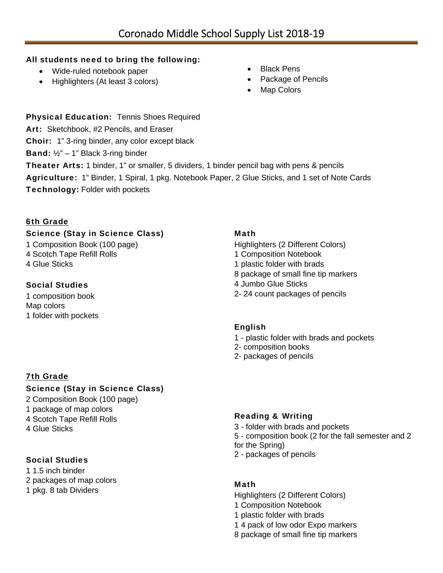#### All students need to bring the following:

- Wide-ruled notebook paper
- Highlighters (At least 3 colors)
- Black Pens
- Package of Pencils
- Map Colors

Physical Education: Tennis Shoes Required

Art: Sketchbook, #2 Pencils, and Eraser

Choir: 1" 3-ring binder, any color except black

**Band:**  $\frac{1}{2}$ " – 1" Black 3-ring binder

Theater Arts: 1 binder, 1" or smaller, 5 dividers, 1 binder pencil bag with pens & pencils Agriculture: 1" Binder, 1 Spiral, 1 pkg. Notebook Paper, 2 Glue Sticks, and 1 set of Note Cards Technology: Folder with pockets

## 6th Grade

## Science (Stay in Science Class)

1 Composition Book (100 page) 4 Scotch Tape Refill Rolls 4 Glue Sticks

## Social Studies

1 composition book Map colors 1 folder with pockets

#### 7th Grade

# Science (Stay in Science Class)

- 2 Composition Book (100 page) 1 package of map colors 4 Scotch Tape Refill Rolls
- 4 Glue Sticks

# Social Studies

1 1.5 inch binder 2 packages of map colors 1 pkg. 8 tab Dividers

#### Math

- Highlighters (2 Different Colors)
- 1 Composition Notebook
- 1 plastic folder with brads
- 8 package of small fine tip markers
- 4 Jumbo Glue Sticks
- 2- 24 count packages of pencils

#### English

- 1 plastic folder with brads and pockets
- 2- composition books
- 2- packages of pencils

# Reading & Writing

- 3 folder with brads and pockets
- 5 composition book (2 for the fall semester and 2
- for the Spring)
- 2 packages of pencils

#### Math

- Highlighters (2 Different Colors)
- 1 Composition Notebook
- 1 plastic folder with brads
- 1 4 pack of low odor Expo markers
- 8 package of small fine tip markers